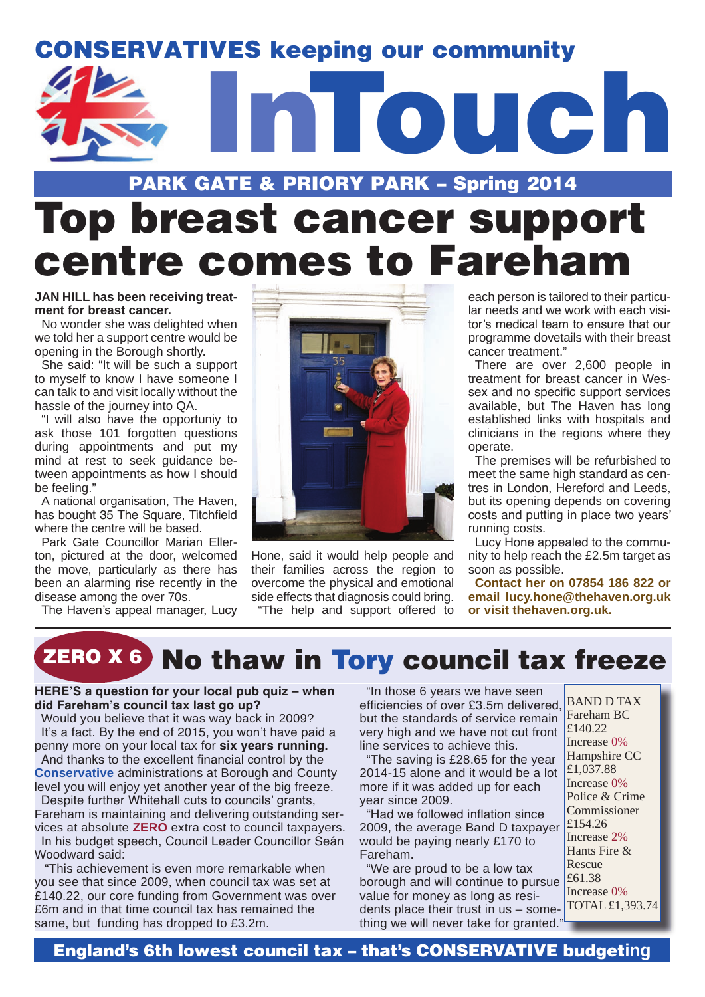

## PARK GATE & PRIORY PARK – Spring 2014 Top breast cancer support centre comes to Fareham

#### **JAN HILL has been receiving treatment for breast cancer.**

No wonder she was delighted when we told her a support centre would be opening in the Borough shortly.

She said: "It will be such a support to myself to know I have someone I can talk to and visit locally without the hassle of the journey into QA.

"I will also have the opportuniy to ask those 101 forgotten questions during appointments and put my mind at rest to seek guidance between appointments as how I should be feeling."

A national organisation, The Haven, has bought 35 The Square, Titchfield where the centre will be based.

Park Gate Councillor Marian Ellerton, pictured at the door, welcomed the move, particularly as there has been an alarming rise recently in the disease among the over 70s.

The Haven's appeal manager, Lucy



Hone, said it would help people and their families across the region to overcome the physical and emotional side effects that diagnosis could bring.

"The help and support offered to

each person is tailored to their particular needs and we work with each visitor's medical team to ensure that our programme dovetails with their breast cancer treatment."

There are over 2,600 people in treatment for breast cancer in Wessex and no specific support services available, but The Haven has long established links with hospitals and clinicians in the regions where they operate.

The premises will be refurbished to meet the same high standard as centres in London, Hereford and Leeds, but its opening depends on covering costs and putting in place two years' running costs.

Lucy Hone appealed to the community to help reach the £2.5m target as soon as possible.

**Contact her on 07854 186 822 or email lucy.hone@thehaven.org.uk or visit thehaven.org.uk.** 

## **ZERO X 6 No thaw in Tory council tax freeze**

#### **HERE'S a question for your local pub quiz – when did Fareham's council tax last go up?**

Would you believe that it was way back in 2009? It's a fact. By the end of 2015, you won't have paid a penny more on your local tax for **six years running.** And thanks to the excellent financial control by the **Conservative** administrations at Borough and County level you will enjoy yet another year of the big freeze. Despite further Whitehall cuts to councils' grants, Fareham is maintaining and delivering outstanding services at absolute **ZERO** extra cost to council taxpayers. In his budget speech, Council Leader Councillor Seán Woodward said:

 "This achievement is even more remarkable when you see that since 2009, when council tax was set at £140.22, our core funding from Government was over £6m and in that time council tax has remained the same, but funding has dropped to £3.2m.

"In those 6 years we have seen efficiencies of over £3.5m delivered, but the standards of service remain very high and we have not cut front line services to achieve this.

"The saving is £28.65 for the year 2014-15 alone and it would be a lot more if it was added up for each year since 2009.

"Had we followed inflation since 2009, the average Band D taxpayer would be paying nearly £170 to Fareham.

"We are proud to be a low tax borough and will continue to pursue  $\frac{\text{\textsterling}61.38}{\text{\textsterling}}$ value for money as long as residents place their trust in us – something we will never take for granted.

BAND D TAX Fareham BC  $£140.22$ Increase 0% Hampshire CC £1,037.88 Increase 0% Police & Crime Commissioner £154.26 Increase 2% Hants Fire & Rescue Increase 0% TOTAL £1,393.74

England's 6th lowest council tax – that's CONSERVATIVE budget**ing**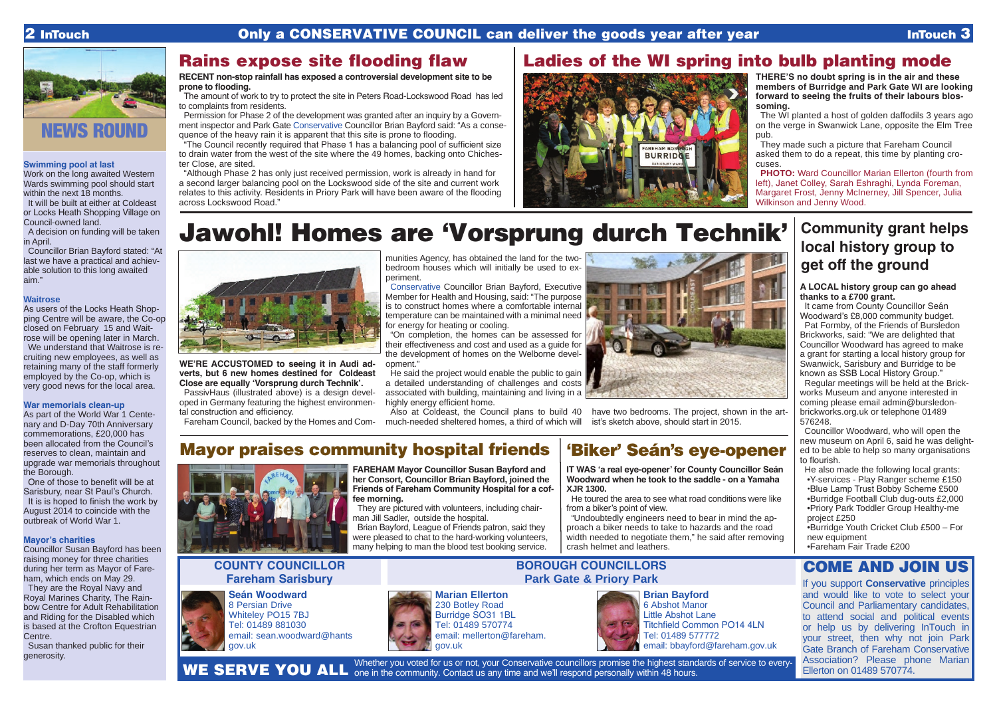### **Swimming pool at last**

Work on the long awaited Western Wards swimming pool should start within the next 18 months.

It will be built at either at Coldeast or Locks Heath Shopping Village on Council-owned land.

A decision on funding will be taken in April.

Councillor Brian Bayford stated: "At last we have a practical and achievable solution to this long awaited aim."

### **Waitrose**

As users of the Locks Heath Shopping Centre will be aware, the Co-op closed on February 15 and Waitrose will be opening later in March. We understand that Waitrose is recruiting new employees, as well as retaining many of the staff formerly

### employed by the Co-op, which is very good news for the local area.

#### **War memorials clean-up**

As part of the World War 1 Centenary and D-Day 70th Anniversary commemorations, £20,000 has been allocated from the Council's reserves to clean, maintain and upgrade war memorials throughout the Borough.

The WI planted a host of golden daffodils 3 years ago on the verge in Swanwick Lane, opposite the Elm Tree pub.

One of those to benefit will be at Sarisbury, near St Paul's Church. It is is hoped to finish the work by August 2014 to coincide with the outbreak of World War 1.

**PHOTO:** Ward Councillor Marian Ellerton (fourth from left), Janet Colley, Sarah Eshraghi, Lynda Foreman, Margaret Frost, Jenny McInerney, Jill Spencer, Julia Wilkinson and Jenny Wood.

#### **Mayor's charities**

Councillor Susan Bayford has been raising money for three charities during her term as Mayor of Fareham, which ends on May 29.

They are the Royal Navy and Royal Marines Charity, The Rainbow Centre for Adult Rehabilitation and Riding for the Disabled which is based at the Crofton Equestrian Centre.

Susan thanked public for their generosity.



### Rains expose site flooding flaw

**THERE'S no doubt spring is in the air and these members of Burridge and Park Gate WI are looking forward to seeing the fruits of their labours blossoming.**

They made such a picture that Fareham Council asked them to do a repeat, this time by planting crocuses.

He said the project would enable the public to gain a detailed understanding of challenges and costs associated with building, maintaining and living in a highly energy efficient home.

### Ladies of the WI spring into bulb planting mode



Whether you voted for us or not, your Conservative councillors promise the highest standards of service to every-WE SERVE YOU ALL one in the community. Contact us any time and we'll respond personally within 48 hours.

**RECENT non-stop rainfall has exposed a controversial development site to be prone to flooding.**

The amount of work to try to protect the site in Peters Road-Lockswood Road has led to complaints from residents.

Permission for Phase 2 of the development was granted after an inquiry by a Government inspector and Park Gate Conservative Councillor Brian Bayford said: "As a consequence of the heavy rain it is apparent that this site is prone to flooding.

"The Council recently required that Phase 1 has a balancing pool of sufficient size to drain water from the west of the site where the 49 homes, backing onto Chichester Close, are sited.

"Although Phase 2 has only just received permission, work is already in hand for a second larger balancing pool on the Lockswood side of the site and current work relates to this activity. Residents in Priory Park will have been aware of the flooding across Lockswood Road."

## Jawohl! Homes are 'Vorsprung durch Technik'



**WE'RE ACCUSTOMED to seeing it in Audi adverts, but 6 new homes destined for Coldeast Close are equally 'Vorsprung durch Technik'.**

PassivHaus (illustrated above) is a design developed in Germany featuring the highest environmental construction and efficiency.

Fareham Council, backed by the Homes and Com-

munities Agency, has obtained the land for the twobedroom houses which will initially be used to experiment.

Conservative Councillor Brian Bayford, Executive Member for Health and Housing, said: "The purpose is to construct homes where a comfortable internal temperature can be maintained with a minimal need for energy for heating or cooling.

"On completion, the homes can be assessed for their effectiveness and cost and used as a guide for the development of homes on the Welborne development."

Also at Coldeast, the Council plans to build 40 have two bedrooms. The project, shown in the artmuch-needed sheltered homes, a third of which will

ist's sketch above, should start in 2015.

**Marian Ellerton** 230 Botley Road Burridge SO31 1BL Tel: 01489 570774 email: mellerton@fareham. gov.uk

**Seán Woodward** 8 Persian Drive Whiteley PO15 7BJ Tel: 01489 881030 email: sean.woodward@hants gov.uk



### **COUNTY COUNCILLOR Fareham Sarisbury**

**BOROUGH COUNCILLORS**



**Brian Bayford** 6 Abshot Manor Little Abshot Lane Titchfield Common PO14 4LN Tel: 01489 577772 email: bbayford@fareham.gov.uk

**FAREHAM Mayor Councillor Susan Bayford and her Consort, Councillor Brian Bayford, joined the Friends of Fareham Community Hospital for a coffee morning.**

They are pictured with volunteers, including chairman Jill Sadler, outside the hospital.

Brian Bayford, League of Friends patron, said they were pleased to chat to the hard-working volunteers, many helping to man the blood test booking service.

### Mayor praises community hospital friends





**IT WAS 'a real eye-opener' for County Councillor Seán Woodward when he took to the saddle - on a Yamaha XJR 1300.**

He toured the area to see what road conditions were like from a biker's point of view.

"Undoubtedly engineers need to bear in mind the approach a biker needs to take to hazards and the road width needed to negotiate them," he said after removing crash helmet and leathers.

### 'Biker' Seán's eye-opener